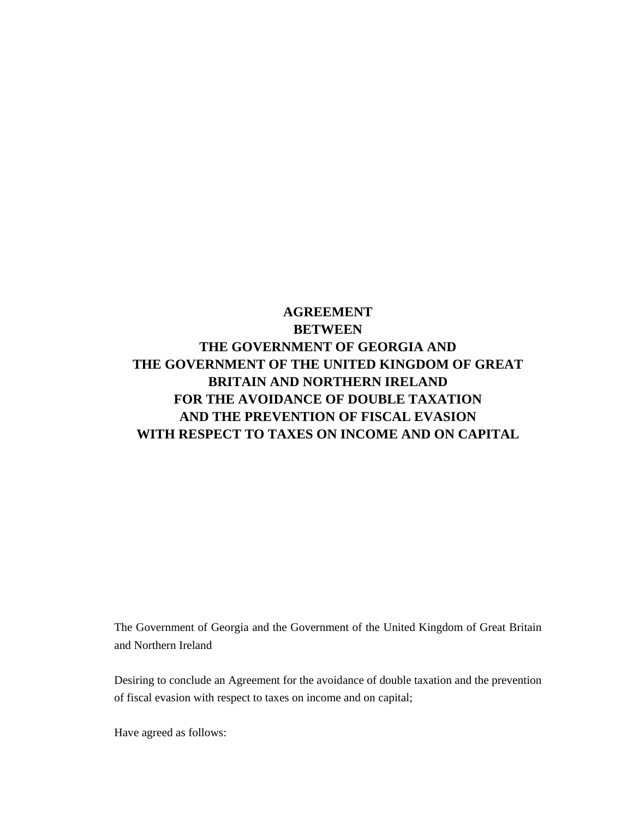# **AGREEMENT BETWEEN THE GOVERNMENT OF GEORGIA AND THE GOVERNMENT OF THE UNITED KINGDOM OF GREAT BRITAIN AND NORTHERN IRELAND FOR THE AVOIDANCE OF DOUBLE TAXATION AND THE PREVENTION OF FISCAL EVASION WITH RESPECT TO TAXES ON INCOME AND ON CAPITAL**

The Government of Georgia and the Government of the United Kingdom of Great Britain and Northern Ireland

Desiring to conclude an Agreement for the avoidance of double taxation and the prevention of fiscal evasion with respect to taxes on income and on capital;

Have agreed as follows: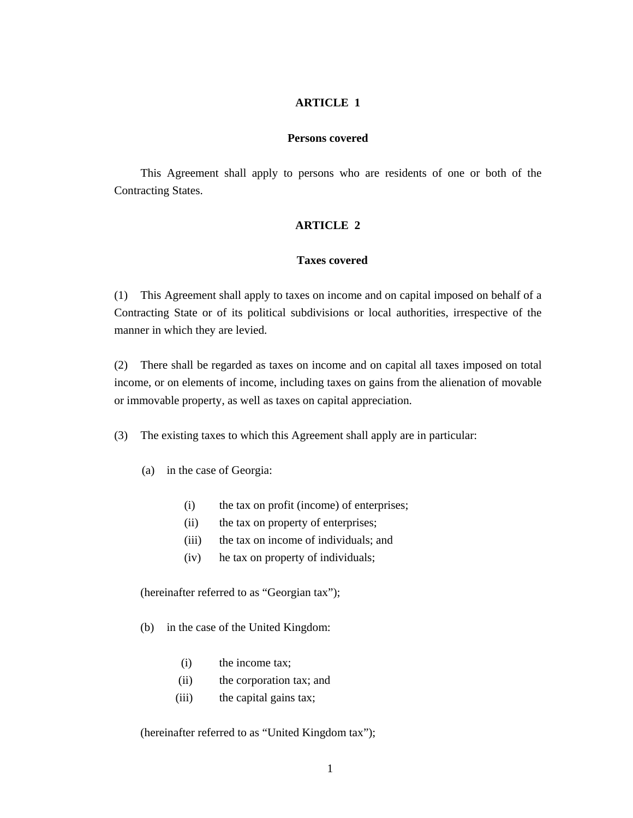#### **Persons covered**

 This Agreement shall apply to persons who are residents of one or both of the Contracting States.

# **ARTICLE 2**

# **Taxes covered**

(1) This Agreement shall apply to taxes on income and on capital imposed on behalf of a Contracting State or of its political subdivisions or local authorities, irrespective of the manner in which they are levied.

(2) There shall be regarded as taxes on income and on capital all taxes imposed on total income, or on elements of income, including taxes on gains from the alienation of movable or immovable property, as well as taxes on capital appreciation.

(3) The existing taxes to which this Agreement shall apply are in particular:

- (a) in the case of Georgia:
	- (i) the tax on profit (income) of enterprises;
	- (ii) the tax on property of enterprises;
	- (iii) the tax on income of individuals; and
	- (iv) he tax on property of individuals;

(hereinafter referred to as "Georgian tax");

- (b) in the case of the United Kingdom:
	- (i) the income tax;
	- (ii) the corporation tax; and
	- (iii) the capital gains tax;

(hereinafter referred to as "United Kingdom tax");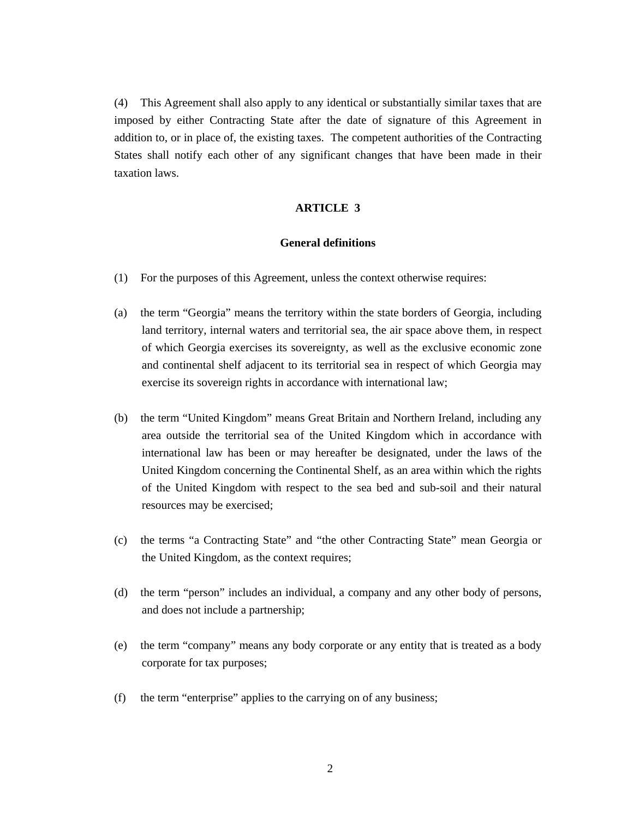(4) This Agreement shall also apply to any identical or substantially similar taxes that are imposed by either Contracting State after the date of signature of this Agreement in addition to, or in place of, the existing taxes. The competent authorities of the Contracting States shall notify each other of any significant changes that have been made in their taxation laws.

### **ARTICLE 3**

## **General definitions**

- (1) For the purposes of this Agreement, unless the context otherwise requires:
- (a) the term "Georgia" means the territory within the state borders of Georgia, including land territory, internal waters and territorial sea, the air space above them, in respect of which Georgia exercises its sovereignty, as well as the exclusive economic zone and continental shelf adjacent to its territorial sea in respect of which Georgia may exercise its sovereign rights in accordance with international law;
- (b) the term "United Kingdom" means Great Britain and Northern Ireland, including any area outside the territorial sea of the United Kingdom which in accordance with international law has been or may hereafter be designated, under the laws of the United Kingdom concerning the Continental Shelf, as an area within which the rights of the United Kingdom with respect to the sea bed and sub-soil and their natural resources may be exercised;
- (c) the terms "a Contracting State" and "the other Contracting State" mean Georgia or the United Kingdom, as the context requires;
- (d) the term "person" includes an individual, a company and any other body of persons, and does not include a partnership;
- (e) the term "company" means any body corporate or any entity that is treated as a body corporate for tax purposes;
- (f) the term "enterprise" applies to the carrying on of any business;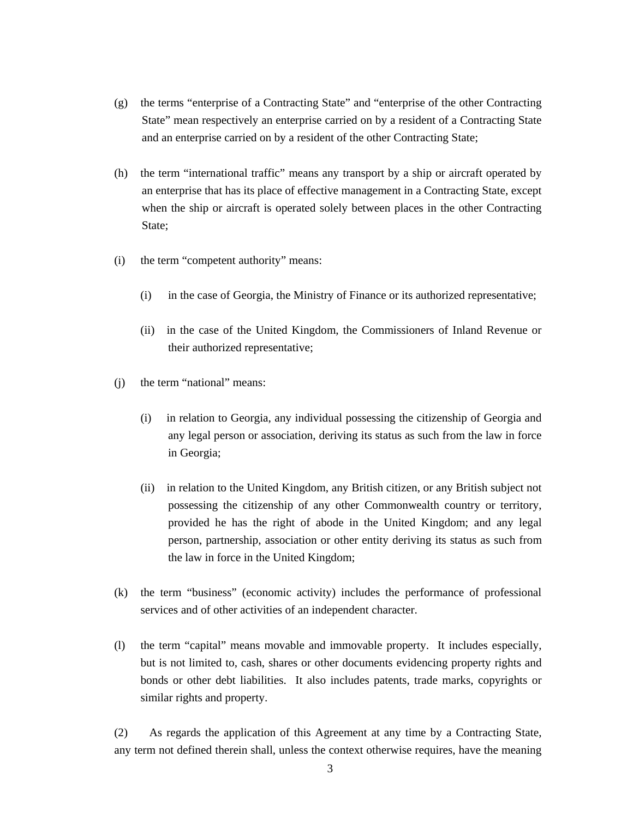- (g) the terms "enterprise of a Contracting State" and "enterprise of the other Contracting State" mean respectively an enterprise carried on by a resident of a Contracting State and an enterprise carried on by a resident of the other Contracting State;
- (h) the term "international traffic" means any transport by a ship or aircraft operated by an enterprise that has its place of effective management in a Contracting State, except when the ship or aircraft is operated solely between places in the other Contracting State;
- (i) the term "competent authority" means:
	- (i) in the case of Georgia, the Ministry of Finance or its authorized representative;
	- (ii) in the case of the United Kingdom, the Commissioners of Inland Revenue or their authorized representative;
- (j) the term "national" means:
	- (i) in relation to Georgia, any individual possessing the citizenship of Georgia and any legal person or association, deriving its status as such from the law in force in Georgia;
	- (ii) in relation to the United Kingdom, any British citizen, or any British subject not possessing the citizenship of any other Commonwealth country or territory, provided he has the right of abode in the United Kingdom; and any legal person, partnership, association or other entity deriving its status as such from the law in force in the United Kingdom;
- (k) the term "business" (economic activity) includes the performance of professional services and of other activities of an independent character.
- (l) the term "capital" means movable and immovable property. It includes especially, but is not limited to, cash, shares or other documents evidencing property rights and bonds or other debt liabilities. It also includes patents, trade marks, copyrights or similar rights and property.

(2) As regards the application of this Agreement at any time by a Contracting State, any term not defined therein shall, unless the context otherwise requires, have the meaning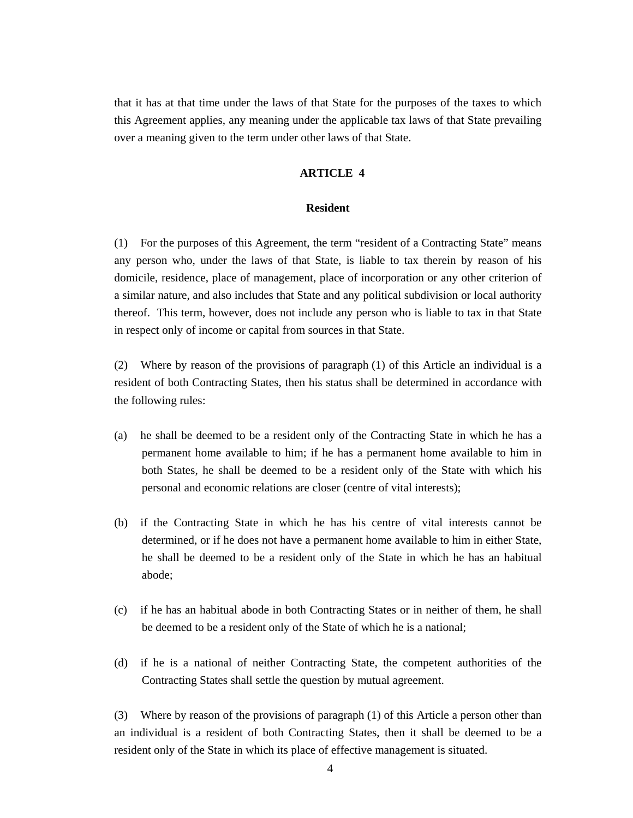that it has at that time under the laws of that State for the purposes of the taxes to which this Agreement applies, any meaning under the applicable tax laws of that State prevailing over a meaning given to the term under other laws of that State.

# **ARTICLE 4**

### **Resident**

(1) For the purposes of this Agreement, the term "resident of a Contracting State" means any person who, under the laws of that State, is liable to tax therein by reason of his domicile, residence, place of management, place of incorporation or any other criterion of a similar nature, and also includes that State and any political subdivision or local authority thereof. This term, however, does not include any person who is liable to tax in that State in respect only of income or capital from sources in that State.

(2) Where by reason of the provisions of paragraph (1) of this Article an individual is a resident of both Contracting States, then his status shall be determined in accordance with the following rules:

- (a) he shall be deemed to be a resident only of the Contracting State in which he has a permanent home available to him; if he has a permanent home available to him in both States, he shall be deemed to be a resident only of the State with which his personal and economic relations are closer (centre of vital interests);
- (b) if the Contracting State in which he has his centre of vital interests cannot be determined, or if he does not have a permanent home available to him in either State, he shall be deemed to be a resident only of the State in which he has an habitual abode;
- (c) if he has an habitual abode in both Contracting States or in neither of them, he shall be deemed to be a resident only of the State of which he is a national;
- (d) if he is a national of neither Contracting State, the competent authorities of the Contracting States shall settle the question by mutual agreement.

(3) Where by reason of the provisions of paragraph (1) of this Article a person other than an individual is a resident of both Contracting States, then it shall be deemed to be a resident only of the State in which its place of effective management is situated.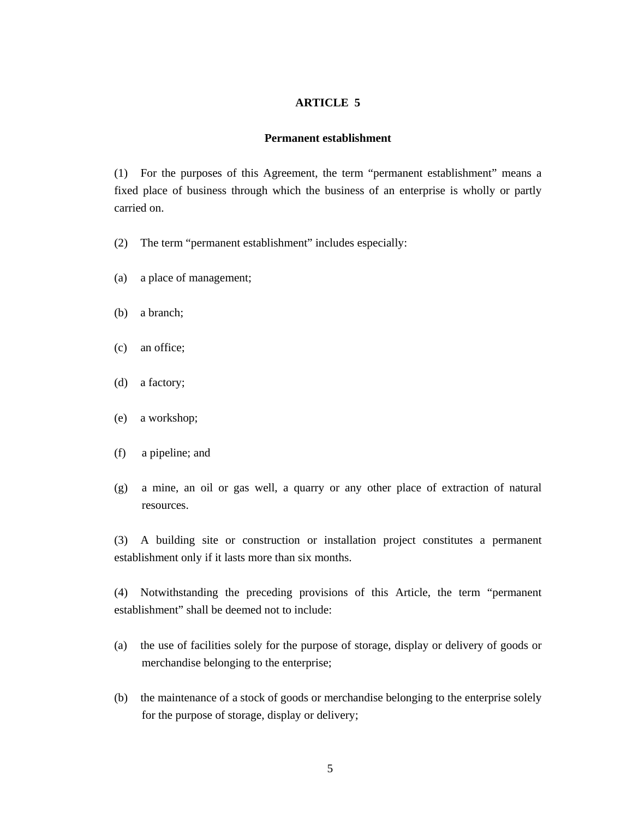#### **Permanent establishment**

(1) For the purposes of this Agreement, the term "permanent establishment" means a fixed place of business through which the business of an enterprise is wholly or partly carried on.

- (2) The term "permanent establishment" includes especially:
- (a) a place of management;
- (b) a branch;
- (c) an office;
- (d) a factory;
- (e) a workshop;
- (f) a pipeline; and
- (g) a mine, an oil or gas well, a quarry or any other place of extraction of natural resources.

(3) A building site or construction or installation project constitutes a permanent establishment only if it lasts more than six months.

(4) Notwithstanding the preceding provisions of this Article, the term "permanent establishment" shall be deemed not to include:

- (a) the use of facilities solely for the purpose of storage, display or delivery of goods or merchandise belonging to the enterprise;
- (b) the maintenance of a stock of goods or merchandise belonging to the enterprise solely for the purpose of storage, display or delivery;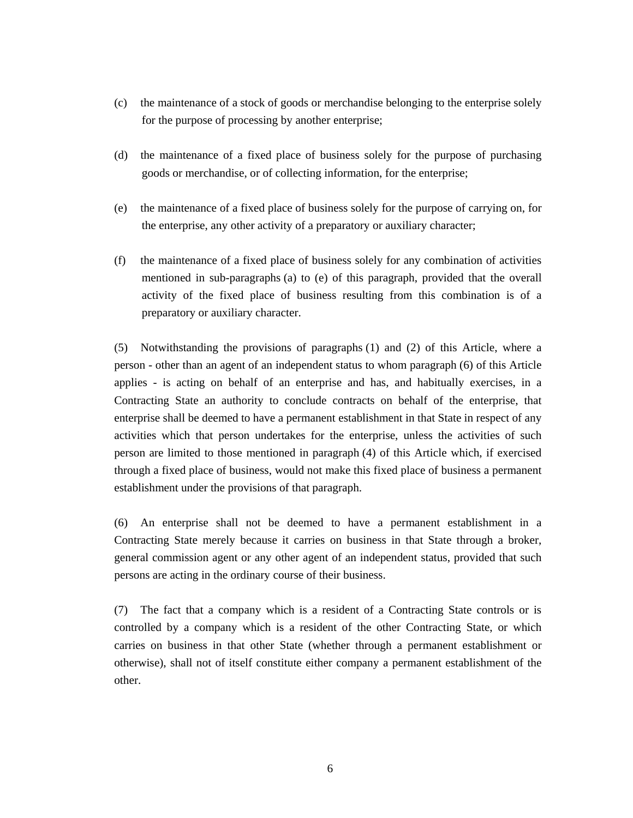- (c) the maintenance of a stock of goods or merchandise belonging to the enterprise solely for the purpose of processing by another enterprise;
- (d) the maintenance of a fixed place of business solely for the purpose of purchasing goods or merchandise, or of collecting information, for the enterprise;
- (e) the maintenance of a fixed place of business solely for the purpose of carrying on, for the enterprise, any other activity of a preparatory or auxiliary character;
- (f) the maintenance of a fixed place of business solely for any combination of activities mentioned in sub-paragraphs (a) to (e) of this paragraph, provided that the overall activity of the fixed place of business resulting from this combination is of a preparatory or auxiliary character.

(5) Notwithstanding the provisions of paragraphs (1) and (2) of this Article, where a person - other than an agent of an independent status to whom paragraph (6) of this Article applies - is acting on behalf of an enterprise and has, and habitually exercises, in a Contracting State an authority to conclude contracts on behalf of the enterprise, that enterprise shall be deemed to have a permanent establishment in that State in respect of any activities which that person undertakes for the enterprise, unless the activities of such person are limited to those mentioned in paragraph (4) of this Article which, if exercised through a fixed place of business, would not make this fixed place of business a permanent establishment under the provisions of that paragraph.

(6) An enterprise shall not be deemed to have a permanent establishment in a Contracting State merely because it carries on business in that State through a broker, general commission agent or any other agent of an independent status, provided that such persons are acting in the ordinary course of their business.

(7) The fact that a company which is a resident of a Contracting State controls or is controlled by a company which is a resident of the other Contracting State, or which carries on business in that other State (whether through a permanent establishment or otherwise), shall not of itself constitute either company a permanent establishment of the other.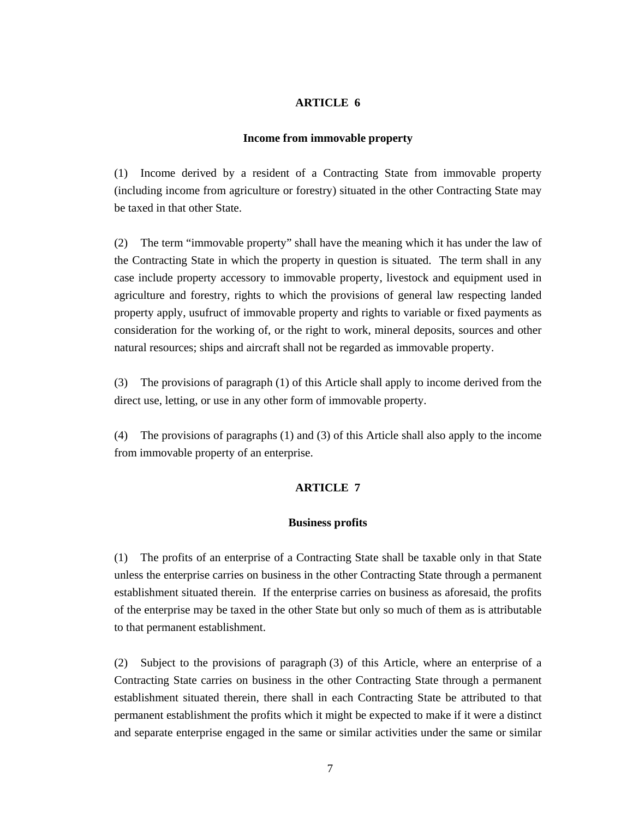#### **Income from immovable property**

(1) Income derived by a resident of a Contracting State from immovable property (including income from agriculture or forestry) situated in the other Contracting State may be taxed in that other State.

(2) The term "immovable property" shall have the meaning which it has under the law of the Contracting State in which the property in question is situated. The term shall in any case include property accessory to immovable property, livestock and equipment used in agriculture and forestry, rights to which the provisions of general law respecting landed property apply, usufruct of immovable property and rights to variable or fixed payments as consideration for the working of, or the right to work, mineral deposits, sources and other natural resources; ships and aircraft shall not be regarded as immovable property.

(3) The provisions of paragraph (1) of this Article shall apply to income derived from the direct use, letting, or use in any other form of immovable property.

(4) The provisions of paragraphs (1) and (3) of this Article shall also apply to the income from immovable property of an enterprise.

# **ARTICLE 7**

## **Business profits**

(1) The profits of an enterprise of a Contracting State shall be taxable only in that State unless the enterprise carries on business in the other Contracting State through a permanent establishment situated therein. If the enterprise carries on business as aforesaid, the profits of the enterprise may be taxed in the other State but only so much of them as is attributable to that permanent establishment.

(2) Subject to the provisions of paragraph (3) of this Article, where an enterprise of a Contracting State carries on business in the other Contracting State through a permanent establishment situated therein, there shall in each Contracting State be attributed to that permanent establishment the profits which it might be expected to make if it were a distinct and separate enterprise engaged in the same or similar activities under the same or similar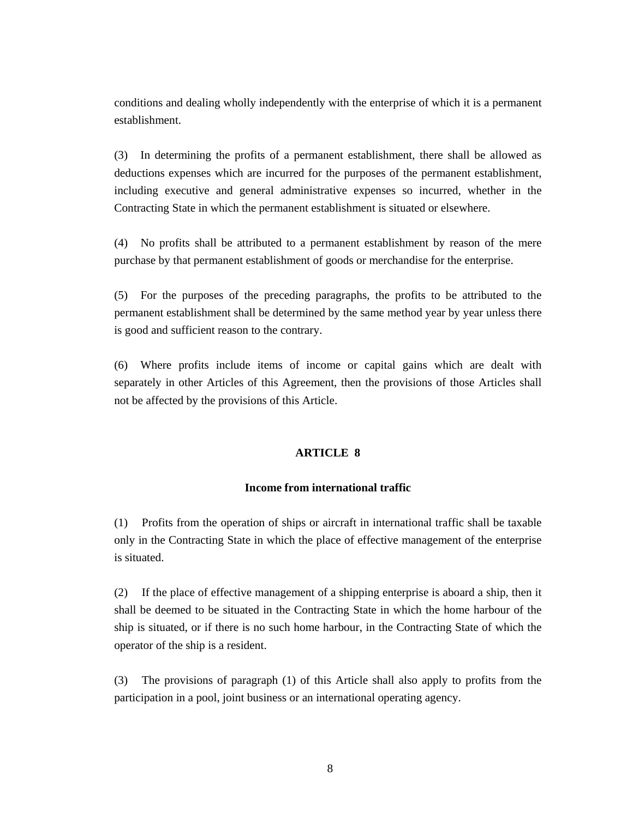conditions and dealing wholly independently with the enterprise of which it is a permanent establishment.

(3) In determining the profits of a permanent establishment, there shall be allowed as deductions expenses which are incurred for the purposes of the permanent establishment, including executive and general administrative expenses so incurred, whether in the Contracting State in which the permanent establishment is situated or elsewhere.

(4) No profits shall be attributed to a permanent establishment by reason of the mere purchase by that permanent establishment of goods or merchandise for the enterprise.

(5) For the purposes of the preceding paragraphs, the profits to be attributed to the permanent establishment shall be determined by the same method year by year unless there is good and sufficient reason to the contrary.

(6) Where profits include items of income or capital gains which are dealt with separately in other Articles of this Agreement, then the provisions of those Articles shall not be affected by the provisions of this Article.

### **ARTICLE 8**

# **Income from international traffic**

(1) Profits from the operation of ships or aircraft in international traffic shall be taxable only in the Contracting State in which the place of effective management of the enterprise is situated.

(2) If the place of effective management of a shipping enterprise is aboard a ship, then it shall be deemed to be situated in the Contracting State in which the home harbour of the ship is situated, or if there is no such home harbour, in the Contracting State of which the operator of the ship is a resident.

(3) The provisions of paragraph (1) of this Article shall also apply to profits from the participation in a pool, joint business or an international operating agency.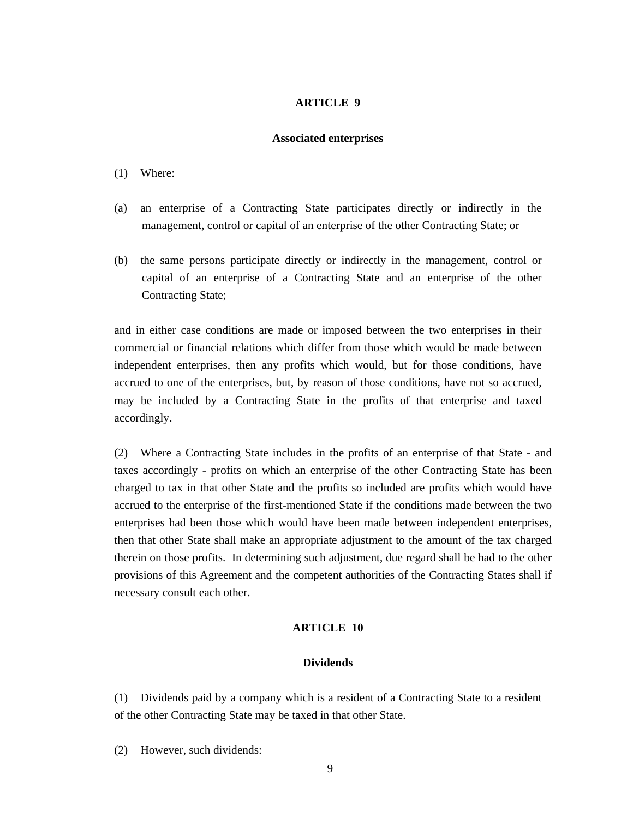### **Associated enterprises**

# (1) Where:

- (a) an enterprise of a Contracting State participates directly or indirectly in the management, control or capital of an enterprise of the other Contracting State; or
- (b) the same persons participate directly or indirectly in the management, control or capital of an enterprise of a Contracting State and an enterprise of the other Contracting State;

and in either case conditions are made or imposed between the two enterprises in their commercial or financial relations which differ from those which would be made between independent enterprises, then any profits which would, but for those conditions, have accrued to one of the enterprises, but, by reason of those conditions, have not so accrued, may be included by a Contracting State in the profits of that enterprise and taxed accordingly.

(2) Where a Contracting State includes in the profits of an enterprise of that State - and taxes accordingly - profits on which an enterprise of the other Contracting State has been charged to tax in that other State and the profits so included are profits which would have accrued to the enterprise of the first-mentioned State if the conditions made between the two enterprises had been those which would have been made between independent enterprises, then that other State shall make an appropriate adjustment to the amount of the tax charged therein on those profits. In determining such adjustment, due regard shall be had to the other provisions of this Agreement and the competent authorities of the Contracting States shall if necessary consult each other.

# **ARTICLE 10**

#### **Dividends**

(1) Dividends paid by a company which is a resident of a Contracting State to a resident of the other Contracting State may be taxed in that other State.

(2) However, such dividends: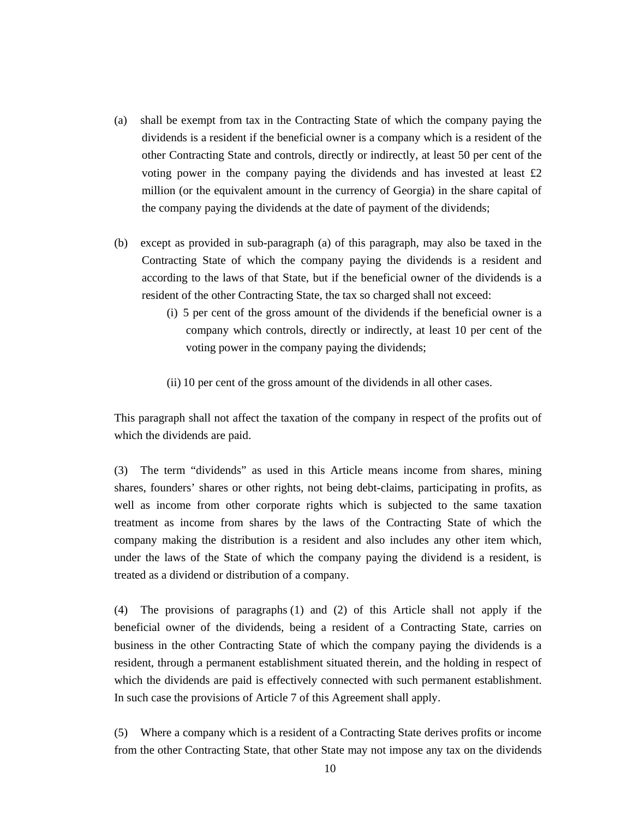- (a) shall be exempt from tax in the Contracting State of which the company paying the dividends is a resident if the beneficial owner is a company which is a resident of the other Contracting State and controls, directly or indirectly, at least 50 per cent of the voting power in the company paying the dividends and has invested at least £2 million (or the equivalent amount in the currency of Georgia) in the share capital of the company paying the dividends at the date of payment of the dividends;
- (b) except as provided in sub-paragraph (a) of this paragraph, may also be taxed in the Contracting State of which the company paying the dividends is a resident and according to the laws of that State, but if the beneficial owner of the dividends is a resident of the other Contracting State, the tax so charged shall not exceed:
	- (i) 5 per cent of the gross amount of the dividends if the beneficial owner is a company which controls, directly or indirectly, at least 10 per cent of the voting power in the company paying the dividends;
	- (ii) 10 per cent of the gross amount of the dividends in all other cases.

This paragraph shall not affect the taxation of the company in respect of the profits out of which the dividends are paid.

(3) The term "dividends" as used in this Article means income from shares, mining shares, founders' shares or other rights, not being debt-claims, participating in profits, as well as income from other corporate rights which is subjected to the same taxation treatment as income from shares by the laws of the Contracting State of which the company making the distribution is a resident and also includes any other item which, under the laws of the State of which the company paying the dividend is a resident, is treated as a dividend or distribution of a company.

(4) The provisions of paragraphs (1) and (2) of this Article shall not apply if the beneficial owner of the dividends, being a resident of a Contracting State, carries on business in the other Contracting State of which the company paying the dividends is a resident, through a permanent establishment situated therein, and the holding in respect of which the dividends are paid is effectively connected with such permanent establishment. In such case the provisions of Article 7 of this Agreement shall apply.

(5) Where a company which is a resident of a Contracting State derives profits or income from the other Contracting State, that other State may not impose any tax on the dividends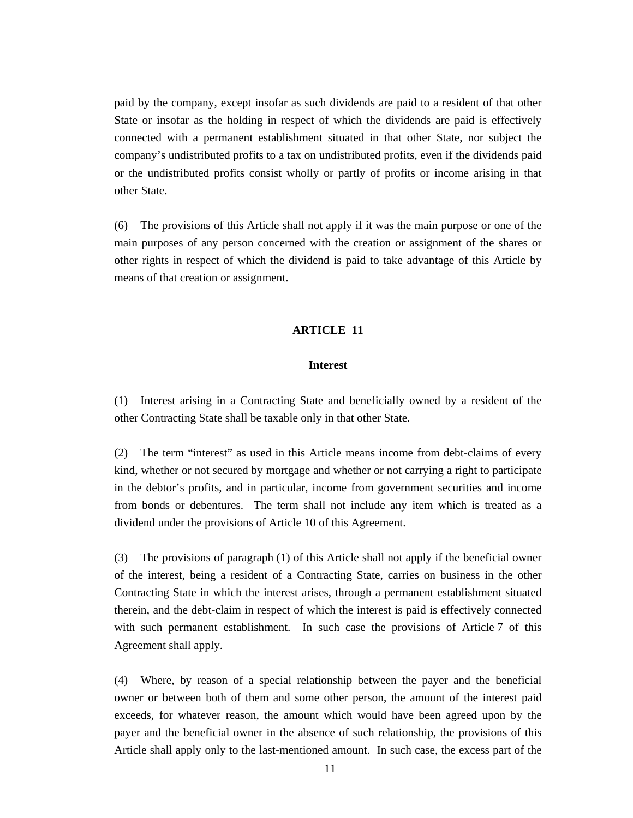paid by the company, except insofar as such dividends are paid to a resident of that other State or insofar as the holding in respect of which the dividends are paid is effectively connected with a permanent establishment situated in that other State, nor subject the company's undistributed profits to a tax on undistributed profits, even if the dividends paid or the undistributed profits consist wholly or partly of profits or income arising in that other State.

(6) The provisions of this Article shall not apply if it was the main purpose or one of the main purposes of any person concerned with the creation or assignment of the shares or other rights in respect of which the dividend is paid to take advantage of this Article by means of that creation or assignment.

# **ARTICLE 11**

#### **Interest**

(1) Interest arising in a Contracting State and beneficially owned by a resident of the other Contracting State shall be taxable only in that other State.

(2) The term "interest" as used in this Article means income from debt-claims of every kind, whether or not secured by mortgage and whether or not carrying a right to participate in the debtor's profits, and in particular, income from government securities and income from bonds or debentures. The term shall not include any item which is treated as a dividend under the provisions of Article 10 of this Agreement.

(3) The provisions of paragraph (1) of this Article shall not apply if the beneficial owner of the interest, being a resident of a Contracting State, carries on business in the other Contracting State in which the interest arises, through a permanent establishment situated therein, and the debt-claim in respect of which the interest is paid is effectively connected with such permanent establishment. In such case the provisions of Article 7 of this Agreement shall apply.

(4) Where, by reason of a special relationship between the payer and the beneficial owner or between both of them and some other person, the amount of the interest paid exceeds, for whatever reason, the amount which would have been agreed upon by the payer and the beneficial owner in the absence of such relationship, the provisions of this Article shall apply only to the last-mentioned amount. In such case, the excess part of the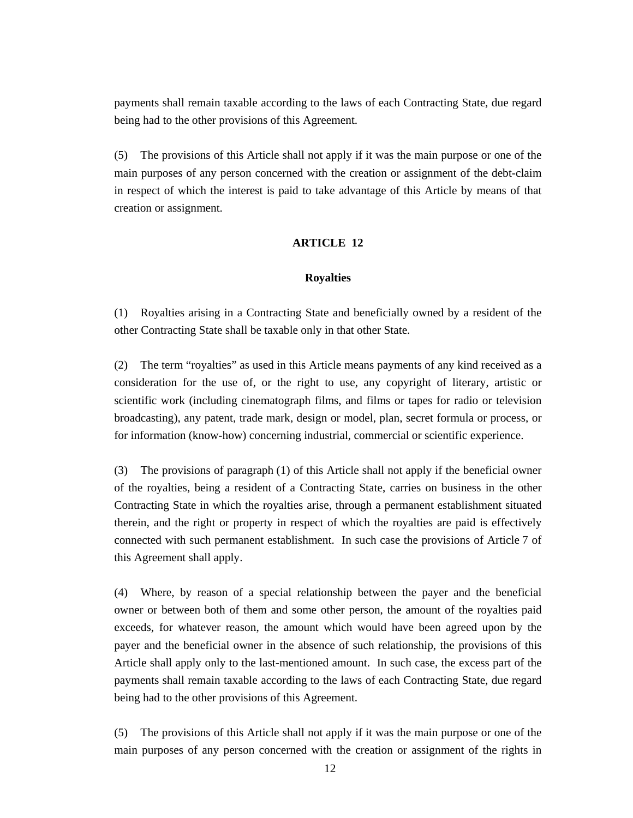payments shall remain taxable according to the laws of each Contracting State, due regard being had to the other provisions of this Agreement.

(5) The provisions of this Article shall not apply if it was the main purpose or one of the main purposes of any person concerned with the creation or assignment of the debt-claim in respect of which the interest is paid to take advantage of this Article by means of that creation or assignment.

# **ARTICLE 12**

### **Royalties**

(1) Royalties arising in a Contracting State and beneficially owned by a resident of the other Contracting State shall be taxable only in that other State.

(2) The term "royalties" as used in this Article means payments of any kind received as a consideration for the use of, or the right to use, any copyright of literary, artistic or scientific work (including cinematograph films, and films or tapes for radio or television broadcasting), any patent, trade mark, design or model, plan, secret formula or process, or for information (know-how) concerning industrial, commercial or scientific experience.

(3) The provisions of paragraph (1) of this Article shall not apply if the beneficial owner of the royalties, being a resident of a Contracting State, carries on business in the other Contracting State in which the royalties arise, through a permanent establishment situated therein, and the right or property in respect of which the royalties are paid is effectively connected with such permanent establishment. In such case the provisions of Article 7 of this Agreement shall apply.

(4) Where, by reason of a special relationship between the payer and the beneficial owner or between both of them and some other person, the amount of the royalties paid exceeds, for whatever reason, the amount which would have been agreed upon by the payer and the beneficial owner in the absence of such relationship, the provisions of this Article shall apply only to the last-mentioned amount. In such case, the excess part of the payments shall remain taxable according to the laws of each Contracting State, due regard being had to the other provisions of this Agreement.

(5) The provisions of this Article shall not apply if it was the main purpose or one of the main purposes of any person concerned with the creation or assignment of the rights in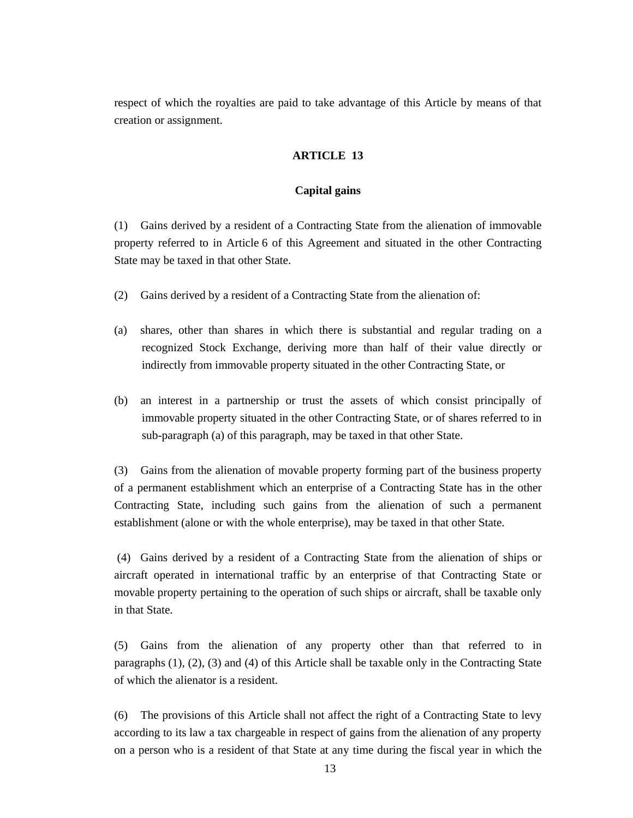respect of which the royalties are paid to take advantage of this Article by means of that creation or assignment.

# **ARTICLE 13**

### **Capital gains**

(1) Gains derived by a resident of a Contracting State from the alienation of immovable property referred to in Article 6 of this Agreement and situated in the other Contracting State may be taxed in that other State.

- (2) Gains derived by a resident of a Contracting State from the alienation of:
- (a) shares, other than shares in which there is substantial and regular trading on a recognized Stock Exchange, deriving more than half of their value directly or indirectly from immovable property situated in the other Contracting State, or
- (b) an interest in a partnership or trust the assets of which consist principally of immovable property situated in the other Contracting State, or of shares referred to in sub-paragraph (a) of this paragraph, may be taxed in that other State.

(3) Gains from the alienation of movable property forming part of the business property of a permanent establishment which an enterprise of a Contracting State has in the other Contracting State, including such gains from the alienation of such a permanent establishment (alone or with the whole enterprise), may be taxed in that other State.

 (4) Gains derived by a resident of a Contracting State from the alienation of ships or aircraft operated in international traffic by an enterprise of that Contracting State or movable property pertaining to the operation of such ships or aircraft, shall be taxable only in that State.

(5) Gains from the alienation of any property other than that referred to in paragraphs (1), (2), (3) and (4) of this Article shall be taxable only in the Contracting State of which the alienator is a resident.

(6) The provisions of this Article shall not affect the right of a Contracting State to levy according to its law a tax chargeable in respect of gains from the alienation of any property on a person who is a resident of that State at any time during the fiscal year in which the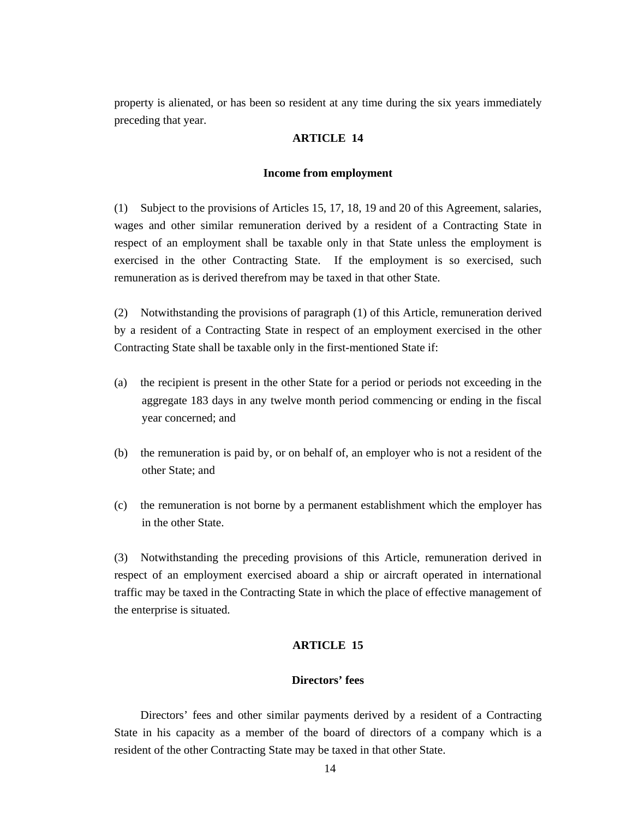property is alienated, or has been so resident at any time during the six years immediately preceding that year.

# **ARTICLE 14**

#### **Income from employment**

(1) Subject to the provisions of Articles 15, 17, 18, 19 and 20 of this Agreement, salaries, wages and other similar remuneration derived by a resident of a Contracting State in respect of an employment shall be taxable only in that State unless the employment is exercised in the other Contracting State. If the employment is so exercised, such remuneration as is derived therefrom may be taxed in that other State.

(2) Notwithstanding the provisions of paragraph (1) of this Article, remuneration derived by a resident of a Contracting State in respect of an employment exercised in the other Contracting State shall be taxable only in the first-mentioned State if:

- (a) the recipient is present in the other State for a period or periods not exceeding in the aggregate 183 days in any twelve month period commencing or ending in the fiscal year concerned; and
- (b) the remuneration is paid by, or on behalf of, an employer who is not a resident of the other State; and
- (c) the remuneration is not borne by a permanent establishment which the employer has in the other State.

(3) Notwithstanding the preceding provisions of this Article, remuneration derived in respect of an employment exercised aboard a ship or aircraft operated in international traffic may be taxed in the Contracting State in which the place of effective management of the enterprise is situated.

### **ARTICLE 15**

# **Directors' fees**

 Directors' fees and other similar payments derived by a resident of a Contracting State in his capacity as a member of the board of directors of a company which is a resident of the other Contracting State may be taxed in that other State.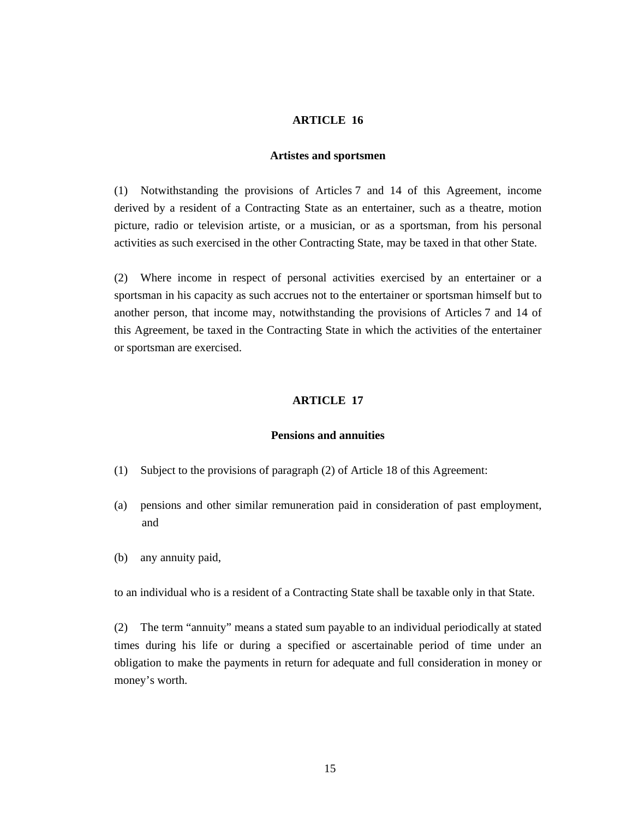#### **Artistes and sportsmen**

(1) Notwithstanding the provisions of Articles 7 and 14 of this Agreement, income derived by a resident of a Contracting State as an entertainer, such as a theatre, motion picture, radio or television artiste, or a musician, or as a sportsman, from his personal activities as such exercised in the other Contracting State, may be taxed in that other State.

(2) Where income in respect of personal activities exercised by an entertainer or a sportsman in his capacity as such accrues not to the entertainer or sportsman himself but to another person, that income may, notwithstanding the provisions of Articles 7 and 14 of this Agreement, be taxed in the Contracting State in which the activities of the entertainer or sportsman are exercised.

#### **ARTICLE 17**

## **Pensions and annuities**

- (1) Subject to the provisions of paragraph (2) of Article 18 of this Agreement:
- (a) pensions and other similar remuneration paid in consideration of past employment, and
- (b) any annuity paid,

to an individual who is a resident of a Contracting State shall be taxable only in that State.

(2) The term "annuity" means a stated sum payable to an individual periodically at stated times during his life or during a specified or ascertainable period of time under an obligation to make the payments in return for adequate and full consideration in money or money's worth.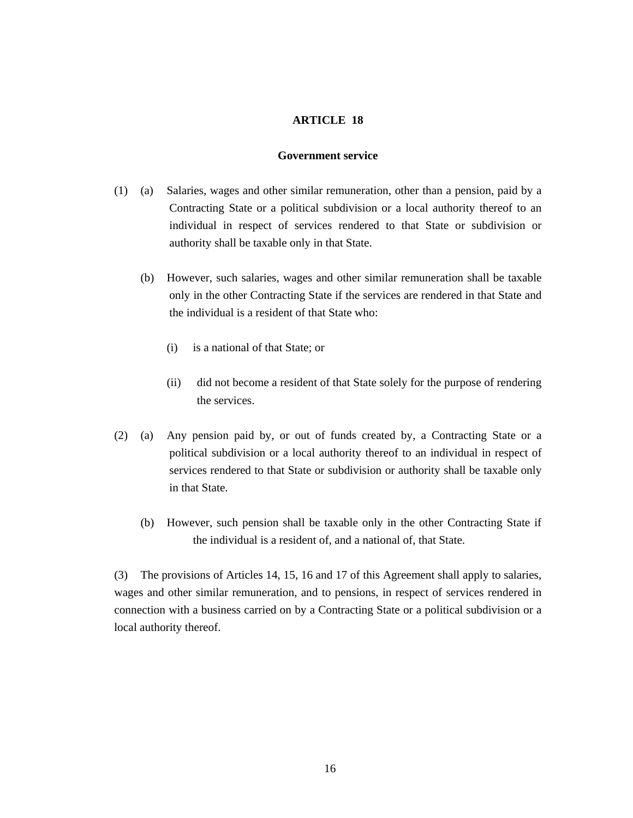#### **Government service**

- (1) (a) Salaries, wages and other similar remuneration, other than a pension, paid by a Contracting State or a political subdivision or a local authority thereof to an individual in respect of services rendered to that State or subdivision or authority shall be taxable only in that State.
	- (b) However, such salaries, wages and other similar remuneration shall be taxable only in the other Contracting State if the services are rendered in that State and the individual is a resident of that State who:
		- (i) is a national of that State; or
		- (ii) did not become a resident of that State solely for the purpose of rendering the services.
- (2) (a) Any pension paid by, or out of funds created by, a Contracting State or a political subdivision or a local authority thereof to an individual in respect of services rendered to that State or subdivision or authority shall be taxable only in that State.
	- (b) However, such pension shall be taxable only in the other Contracting State if the individual is a resident of, and a national of, that State.

(3) The provisions of Articles 14, 15, 16 and 17 of this Agreement shall apply to salaries, wages and other similar remuneration, and to pensions, in respect of services rendered in connection with a business carried on by a Contracting State or a political subdivision or a local authority thereof.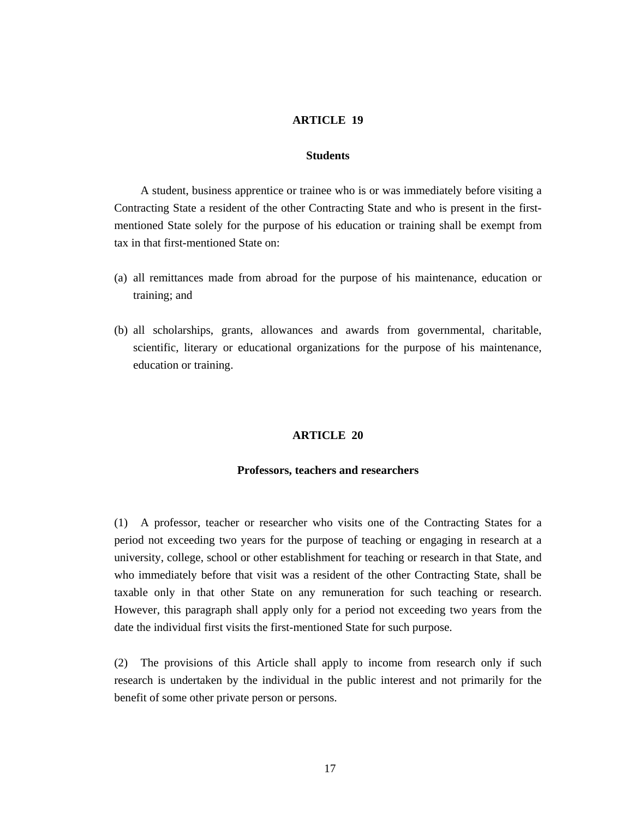### **Students**

 A student, business apprentice or trainee who is or was immediately before visiting a Contracting State a resident of the other Contracting State and who is present in the firstmentioned State solely for the purpose of his education or training shall be exempt from tax in that first-mentioned State on:

- (a) all remittances made from abroad for the purpose of his maintenance, education or training; and
- (b) all scholarships, grants, allowances and awards from governmental, charitable, scientific, literary or educational organizations for the purpose of his maintenance, education or training.

#### **ARTICLE 20**

#### **Professors, teachers and researchers**

(1) A professor, teacher or researcher who visits one of the Contracting States for a period not exceeding two years for the purpose of teaching or engaging in research at a university, college, school or other establishment for teaching or research in that State, and who immediately before that visit was a resident of the other Contracting State, shall be taxable only in that other State on any remuneration for such teaching or research. However, this paragraph shall apply only for a period not exceeding two years from the date the individual first visits the first-mentioned State for such purpose.

(2) The provisions of this Article shall apply to income from research only if such research is undertaken by the individual in the public interest and not primarily for the benefit of some other private person or persons.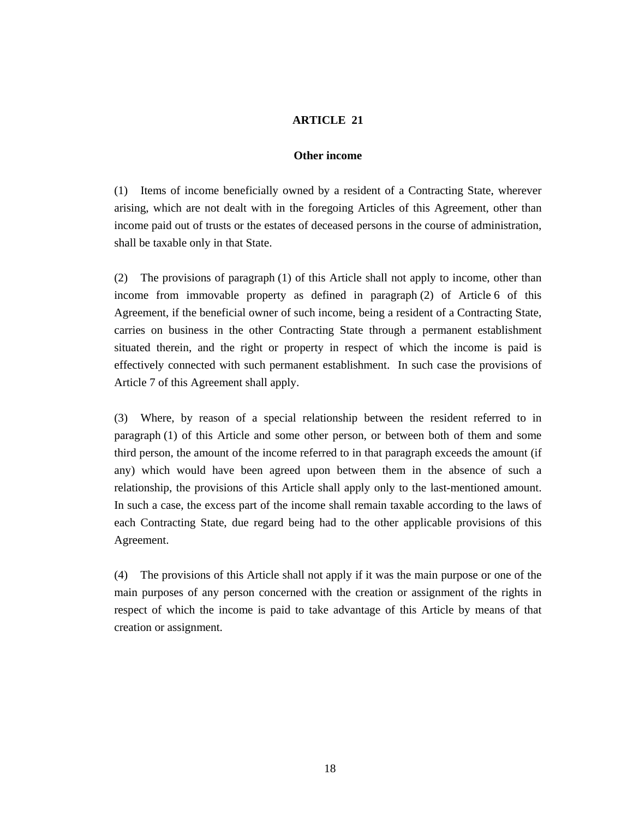## **Other income**

(1) Items of income beneficially owned by a resident of a Contracting State, wherever arising, which are not dealt with in the foregoing Articles of this Agreement, other than income paid out of trusts or the estates of deceased persons in the course of administration, shall be taxable only in that State.

(2) The provisions of paragraph (1) of this Article shall not apply to income, other than income from immovable property as defined in paragraph (2) of Article 6 of this Agreement, if the beneficial owner of such income, being a resident of a Contracting State, carries on business in the other Contracting State through a permanent establishment situated therein, and the right or property in respect of which the income is paid is effectively connected with such permanent establishment. In such case the provisions of Article 7 of this Agreement shall apply.

(3) Where, by reason of a special relationship between the resident referred to in paragraph (1) of this Article and some other person, or between both of them and some third person, the amount of the income referred to in that paragraph exceeds the amount (if any) which would have been agreed upon between them in the absence of such a relationship, the provisions of this Article shall apply only to the last-mentioned amount. In such a case, the excess part of the income shall remain taxable according to the laws of each Contracting State, due regard being had to the other applicable provisions of this Agreement.

(4) The provisions of this Article shall not apply if it was the main purpose or one of the main purposes of any person concerned with the creation or assignment of the rights in respect of which the income is paid to take advantage of this Article by means of that creation or assignment.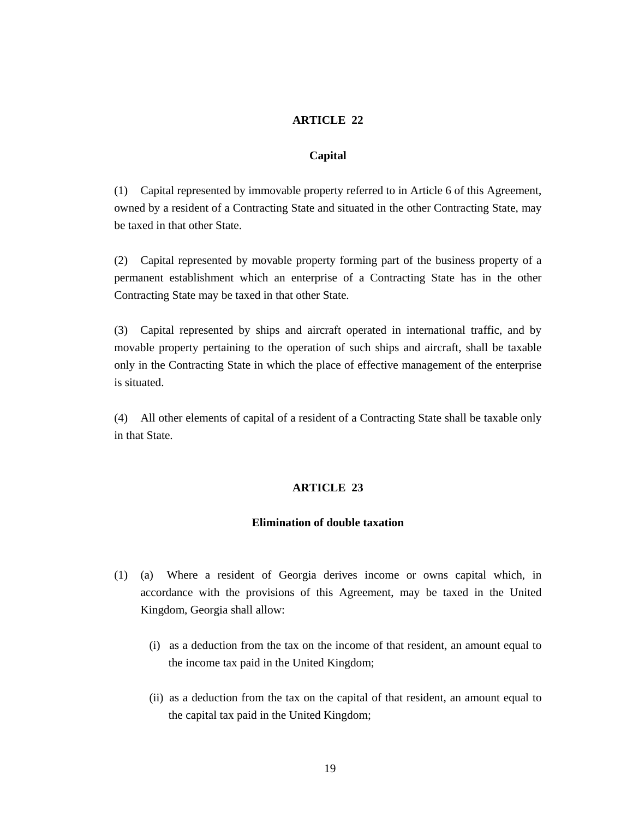## **Capital**

(1) Capital represented by immovable property referred to in Article 6 of this Agreement, owned by a resident of a Contracting State and situated in the other Contracting State, may be taxed in that other State.

(2) Capital represented by movable property forming part of the business property of a permanent establishment which an enterprise of a Contracting State has in the other Contracting State may be taxed in that other State.

(3) Capital represented by ships and aircraft operated in international traffic, and by movable property pertaining to the operation of such ships and aircraft, shall be taxable only in the Contracting State in which the place of effective management of the enterprise is situated.

(4) All other elements of capital of a resident of a Contracting State shall be taxable only in that State.

# **ARTICLE 23**

# **Elimination of double taxation**

- (1) (a) Where a resident of Georgia derives income or owns capital which, in accordance with the provisions of this Agreement, may be taxed in the United Kingdom, Georgia shall allow:
	- (i) as a deduction from the tax on the income of that resident, an amount equal to the income tax paid in the United Kingdom;
	- (ii) as a deduction from the tax on the capital of that resident, an amount equal to the capital tax paid in the United Kingdom;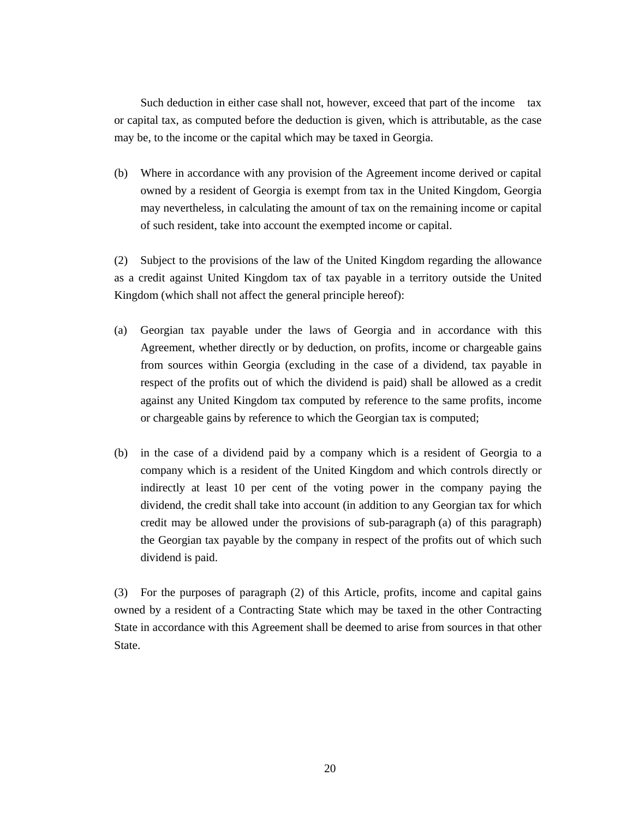Such deduction in either case shall not, however, exceed that part of the income tax or capital tax, as computed before the deduction is given, which is attributable, as the case may be, to the income or the capital which may be taxed in Georgia.

(b) Where in accordance with any provision of the Agreement income derived or capital owned by a resident of Georgia is exempt from tax in the United Kingdom, Georgia may nevertheless, in calculating the amount of tax on the remaining income or capital of such resident, take into account the exempted income or capital.

(2) Subject to the provisions of the law of the United Kingdom regarding the allowance as a credit against United Kingdom tax of tax payable in a territory outside the United Kingdom (which shall not affect the general principle hereof):

- (a) Georgian tax payable under the laws of Georgia and in accordance with this Agreement, whether directly or by deduction, on profits, income or chargeable gains from sources within Georgia (excluding in the case of a dividend, tax payable in respect of the profits out of which the dividend is paid) shall be allowed as a credit against any United Kingdom tax computed by reference to the same profits, income or chargeable gains by reference to which the Georgian tax is computed;
- (b) in the case of a dividend paid by a company which is a resident of Georgia to a company which is a resident of the United Kingdom and which controls directly or indirectly at least 10 per cent of the voting power in the company paying the dividend, the credit shall take into account (in addition to any Georgian tax for which credit may be allowed under the provisions of sub-paragraph (a) of this paragraph) the Georgian tax payable by the company in respect of the profits out of which such dividend is paid.

(3) For the purposes of paragraph (2) of this Article, profits, income and capital gains owned by a resident of a Contracting State which may be taxed in the other Contracting State in accordance with this Agreement shall be deemed to arise from sources in that other State.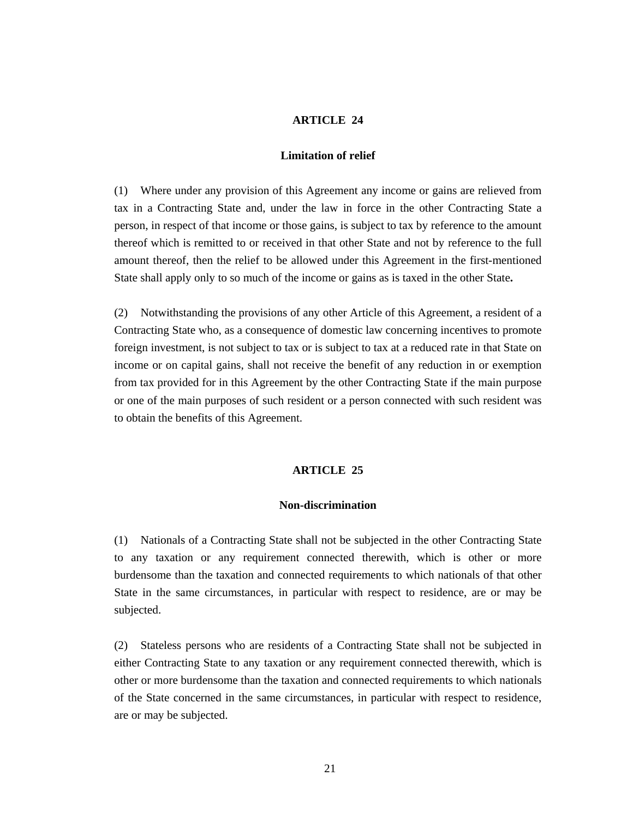#### **Limitation of relief**

(1) Where under any provision of this Agreement any income or gains are relieved from tax in a Contracting State and, under the law in force in the other Contracting State a person, in respect of that income or those gains, is subject to tax by reference to the amount thereof which is remitted to or received in that other State and not by reference to the full amount thereof, then the relief to be allowed under this Agreement in the first-mentioned State shall apply only to so much of the income or gains as is taxed in the other State**.**

(2) Notwithstanding the provisions of any other Article of this Agreement, a resident of a Contracting State who, as a consequence of domestic law concerning incentives to promote foreign investment, is not subject to tax or is subject to tax at a reduced rate in that State on income or on capital gains, shall not receive the benefit of any reduction in or exemption from tax provided for in this Agreement by the other Contracting State if the main purpose or one of the main purposes of such resident or a person connected with such resident was to obtain the benefits of this Agreement.

#### **ARTICLE 25**

# **Non-discrimination**

(1) Nationals of a Contracting State shall not be subjected in the other Contracting State to any taxation or any requirement connected therewith, which is other or more burdensome than the taxation and connected requirements to which nationals of that other State in the same circumstances, in particular with respect to residence, are or may be subjected.

(2) Stateless persons who are residents of a Contracting State shall not be subjected in either Contracting State to any taxation or any requirement connected therewith, which is other or more burdensome than the taxation and connected requirements to which nationals of the State concerned in the same circumstances, in particular with respect to residence, are or may be subjected.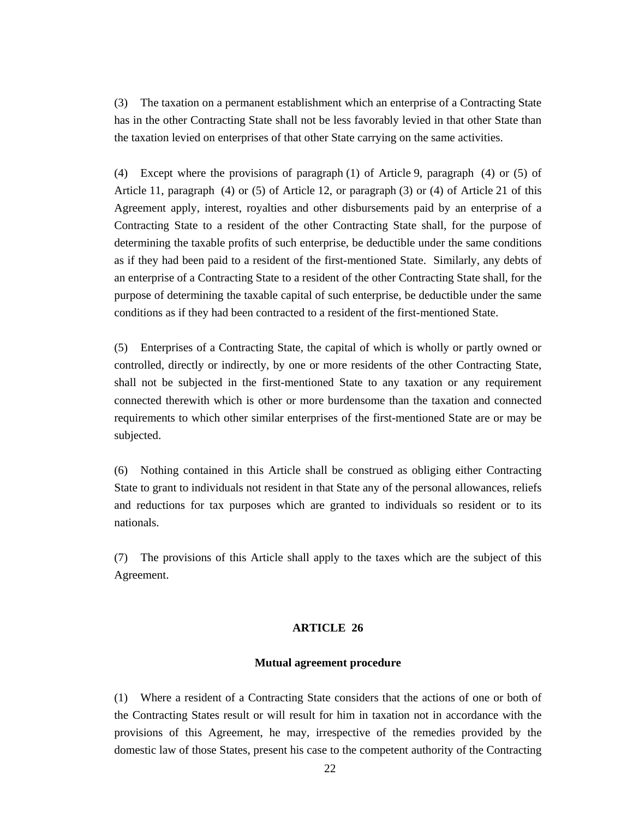(3) The taxation on a permanent establishment which an enterprise of a Contracting State has in the other Contracting State shall not be less favorably levied in that other State than the taxation levied on enterprises of that other State carrying on the same activities.

(4) Except where the provisions of paragraph (1) of Article 9, paragraph (4) or (5) of Article 11, paragraph (4) or (5) of Article 12, or paragraph (3) or (4) of Article 21 of this Agreement apply, interest, royalties and other disbursements paid by an enterprise of a Contracting State to a resident of the other Contracting State shall, for the purpose of determining the taxable profits of such enterprise, be deductible under the same conditions as if they had been paid to a resident of the first-mentioned State. Similarly, any debts of an enterprise of a Contracting State to a resident of the other Contracting State shall, for the purpose of determining the taxable capital of such enterprise, be deductible under the same conditions as if they had been contracted to a resident of the first-mentioned State.

(5) Enterprises of a Contracting State, the capital of which is wholly or partly owned or controlled, directly or indirectly, by one or more residents of the other Contracting State, shall not be subjected in the first-mentioned State to any taxation or any requirement connected therewith which is other or more burdensome than the taxation and connected requirements to which other similar enterprises of the first-mentioned State are or may be subjected.

(6) Nothing contained in this Article shall be construed as obliging either Contracting State to grant to individuals not resident in that State any of the personal allowances, reliefs and reductions for tax purposes which are granted to individuals so resident or to its nationals.

(7) The provisions of this Article shall apply to the taxes which are the subject of this Agreement.

### **ARTICLE 26**

#### **Mutual agreement procedure**

(1) Where a resident of a Contracting State considers that the actions of one or both of the Contracting States result or will result for him in taxation not in accordance with the provisions of this Agreement, he may, irrespective of the remedies provided by the domestic law of those States, present his case to the competent authority of the Contracting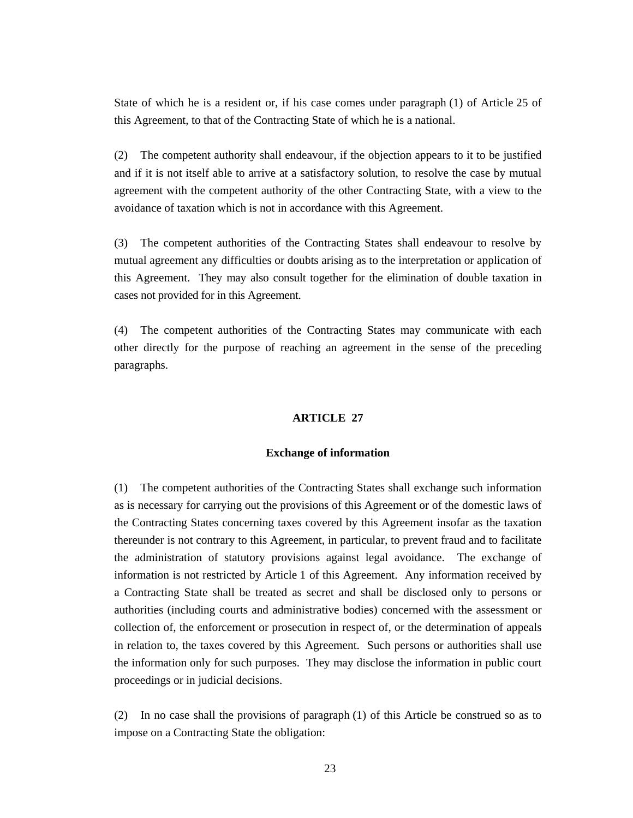State of which he is a resident or, if his case comes under paragraph (1) of Article 25 of this Agreement, to that of the Contracting State of which he is a national.

(2) The competent authority shall endeavour, if the objection appears to it to be justified and if it is not itself able to arrive at a satisfactory solution, to resolve the case by mutual agreement with the competent authority of the other Contracting State, with a view to the avoidance of taxation which is not in accordance with this Agreement.

(3) The competent authorities of the Contracting States shall endeavour to resolve by mutual agreement any difficulties or doubts arising as to the interpretation or application of this Agreement. They may also consult together for the elimination of double taxation in cases not provided for in this Agreement.

(4) The competent authorities of the Contracting States may communicate with each other directly for the purpose of reaching an agreement in the sense of the preceding paragraphs.

# **ARTICLE 27**

### **Exchange of information**

(1) The competent authorities of the Contracting States shall exchange such information as is necessary for carrying out the provisions of this Agreement or of the domestic laws of the Contracting States concerning taxes covered by this Agreement insofar as the taxation thereunder is not contrary to this Agreement, in particular, to prevent fraud and to facilitate the administration of statutory provisions against legal avoidance. The exchange of information is not restricted by Article 1 of this Agreement. Any information received by a Contracting State shall be treated as secret and shall be disclosed only to persons or authorities (including courts and administrative bodies) concerned with the assessment or collection of, the enforcement or prosecution in respect of, or the determination of appeals in relation to, the taxes covered by this Agreement. Such persons or authorities shall use the information only for such purposes. They may disclose the information in public court proceedings or in judicial decisions.

(2) In no case shall the provisions of paragraph (1) of this Article be construed so as to impose on a Contracting State the obligation: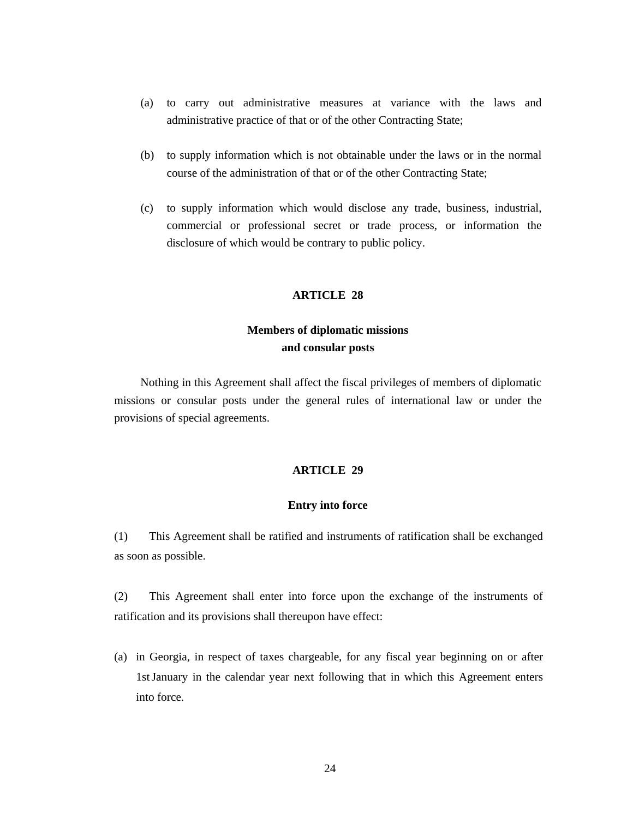- (a) to carry out administrative measures at variance with the laws and administrative practice of that or of the other Contracting State;
- (b) to supply information which is not obtainable under the laws or in the normal course of the administration of that or of the other Contracting State;
- (c) to supply information which would disclose any trade, business, industrial, commercial or professional secret or trade process, or information the disclosure of which would be contrary to public policy.

# **Members of diplomatic missions and consular posts**

 Nothing in this Agreement shall affect the fiscal privileges of members of diplomatic missions or consular posts under the general rules of international law or under the provisions of special agreements.

# **ARTICLE 29**

# **Entry into force**

(1) This Agreement shall be ratified and instruments of ratification shall be exchanged as soon as possible.

(2) This Agreement shall enter into force upon the exchange of the instruments of ratification and its provisions shall thereupon have effect:

(a) in Georgia, in respect of taxes chargeable, for any fiscal year beginning on or after 1stJanuary in the calendar year next following that in which this Agreement enters into force.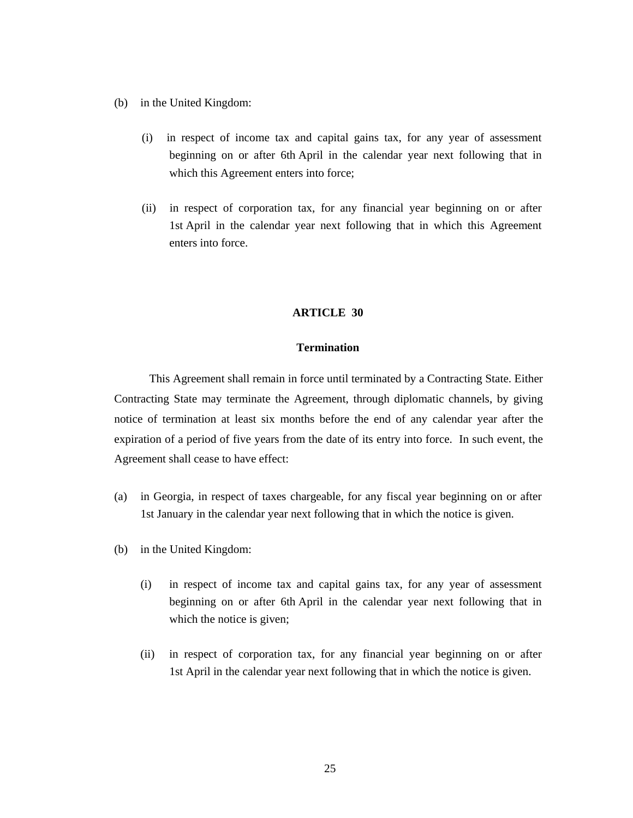- (b) in the United Kingdom:
	- (i) in respect of income tax and capital gains tax, for any year of assessment beginning on or after 6th April in the calendar year next following that in which this Agreement enters into force;
	- (ii) in respect of corporation tax, for any financial year beginning on or after 1st April in the calendar year next following that in which this Agreement enters into force.

# **Termination**

This Agreement shall remain in force until terminated by a Contracting State. Either Contracting State may terminate the Agreement, through diplomatic channels, by giving notice of termination at least six months before the end of any calendar year after the expiration of a period of five years from the date of its entry into force. In such event, the Agreement shall cease to have effect:

- (a) in Georgia, in respect of taxes chargeable, for any fiscal year beginning on or after 1st January in the calendar year next following that in which the notice is given.
- (b) in the United Kingdom:
	- (i) in respect of income tax and capital gains tax, for any year of assessment beginning on or after 6th April in the calendar year next following that in which the notice is given;
	- (ii) in respect of corporation tax, for any financial year beginning on or after 1st April in the calendar year next following that in which the notice is given.